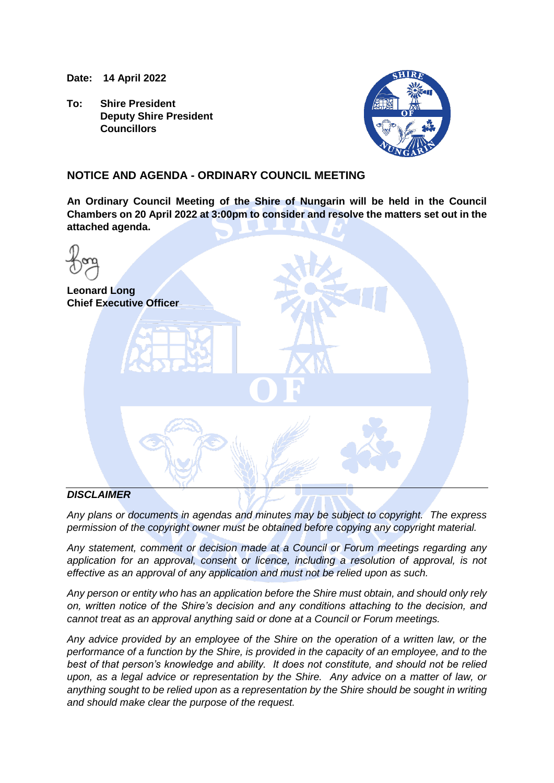**Date: 14 April 2022**

**To: Shire President Deputy Shire President Councillors**



## **NOTICE AND AGENDA - ORDINARY COUNCIL MEETING**

**An Ordinary Council Meeting of the Shire of Nungarin will be held in the Council Chambers on 20 April 2022 at 3:00pm to consider and resolve the matters set out in the attached agenda.**

| <b>Leonard Long</b><br><b>Chief Executive Officer</b> |
|-------------------------------------------------------|
| $\blacksquare$                                        |
|                                                       |

## *DISCLAIMER*

*Any plans or documents in agendas and minutes may be subject to copyright. The express permission of the copyright owner must be obtained before copying any copyright material.*

*Any statement, comment or decision made at a Council or Forum meetings regarding any application for an approval, consent or licence, including a resolution of approval, is not effective as an approval of any application and must not be relied upon as such.*

*Any person or entity who has an application before the Shire must obtain, and should only rely on, written notice of the Shire's decision and any conditions attaching to the decision, and cannot treat as an approval anything said or done at a Council or Forum meetings.*

*Any advice provided by an employee of the Shire on the operation of a written law, or the performance of a function by the Shire, is provided in the capacity of an employee, and to the best of that person's knowledge and ability. It does not constitute, and should not be relied upon, as a legal advice or representation by the Shire. Any advice on a matter of law, or anything sought to be relied upon as a representation by the Shire should be sought in writing and should make clear the purpose of the request.*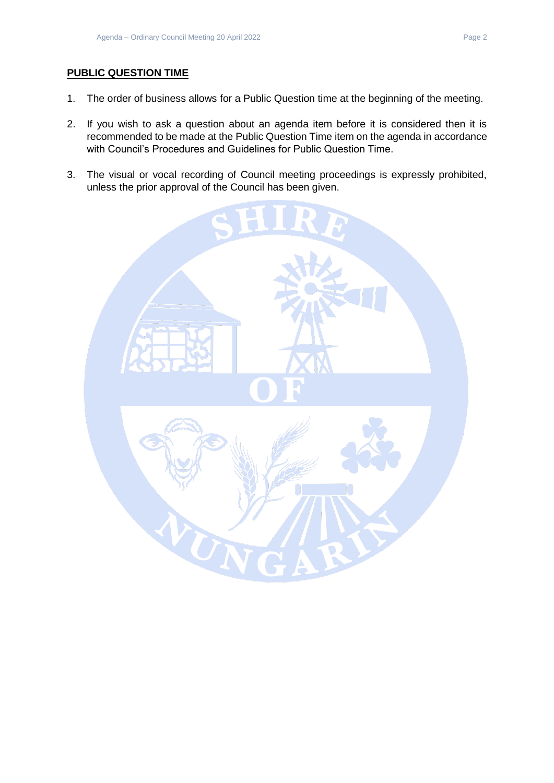## **PUBLIC QUESTION TIME**

- 1. The order of business allows for a Public Question time at the beginning of the meeting.
- 2. If you wish to ask a question about an agenda item before it is considered then it is recommended to be made at the Public Question Time item on the agenda in accordance with Council's Procedures and Guidelines for Public Question Time.
- 3. The visual or vocal recording of Council meeting proceedings is expressly prohibited, unless the prior approval of the Council has been given.

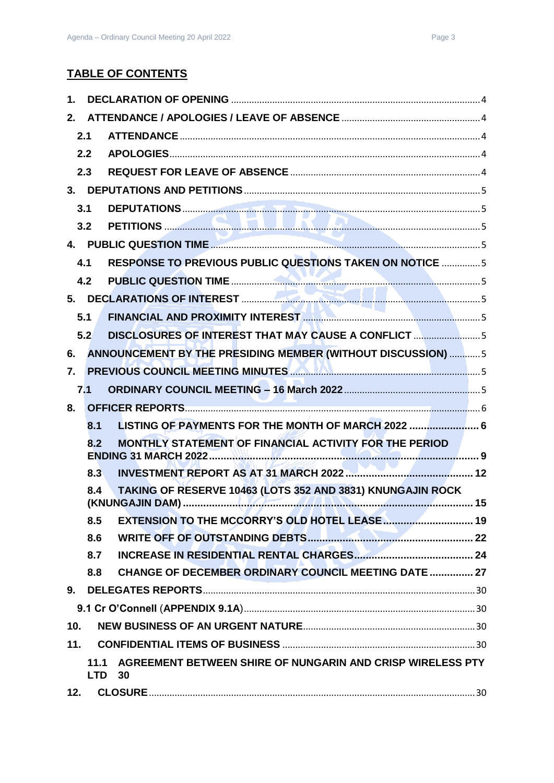| 1.  |      |                                                                                                                               |  |
|-----|------|-------------------------------------------------------------------------------------------------------------------------------|--|
| 2.  |      |                                                                                                                               |  |
|     | 2.1  |                                                                                                                               |  |
|     | 2.2  |                                                                                                                               |  |
|     | 2.3  |                                                                                                                               |  |
|     |      |                                                                                                                               |  |
|     | 3.1  |                                                                                                                               |  |
|     | 3.2  |                                                                                                                               |  |
|     |      |                                                                                                                               |  |
|     | 4.1  | RESPONSE TO PREVIOUS PUBLIC QUESTIONS TAKEN ON NOTICE  5                                                                      |  |
|     | 4.2  |                                                                                                                               |  |
|     |      |                                                                                                                               |  |
|     | 5.1  | FINANCIAL AND PROXIMITY INTEREST <b>AND CONSTRUCTED AND THE REST WAS SERVED AND THE RES</b>                                   |  |
|     | 5.2  | DISCLOSURES OF INTEREST THAT MAY CAUSE A CONFLICT 5                                                                           |  |
| 6.  |      | ANNOUNCEMENT BY THE PRESIDING MEMBER (WITHOUT DISCUSSION)  5                                                                  |  |
| 7.  |      | PREVIOUS COUNCIL MEETING MINUTES <b>AND ALL CONTRACT SERVICES</b> 5                                                           |  |
|     | 7.1  |                                                                                                                               |  |
| 8.  |      |                                                                                                                               |  |
|     | 8.1  | LISTING OF PAYMENTS FOR THE MONTH OF MARCH 2022  6                                                                            |  |
|     | 8.2  | MONTHLY STATEMENT OF FINANCIAL ACTIVITY FOR THE PERIOD                                                                        |  |
|     |      |                                                                                                                               |  |
|     | 8.3  |                                                                                                                               |  |
|     | 8.4  | TAKING OF RESERVE 10463 (LOTS 352 AND 3831) KNUNGAJIN ROCK                                                                    |  |
|     | 8.5  | the contract of the contract of the contract of<br>the control of the control of the control of the control of the control of |  |
|     | 8.6  |                                                                                                                               |  |
|     | 8.7  |                                                                                                                               |  |
|     | 8.8  | <b>CHANGE OF DECEMBER ORDINARY COUNCIL MEETING DATE  27</b>                                                                   |  |
|     |      |                                                                                                                               |  |
|     |      |                                                                                                                               |  |
| 10. |      |                                                                                                                               |  |
| 11. |      |                                                                                                                               |  |
|     | 11.1 | AGREEMENT BETWEEN SHIRE OF NUNGARIN AND CRISP WIRELESS PTY<br><b>LTD 30</b>                                                   |  |
| 12. |      |                                                                                                                               |  |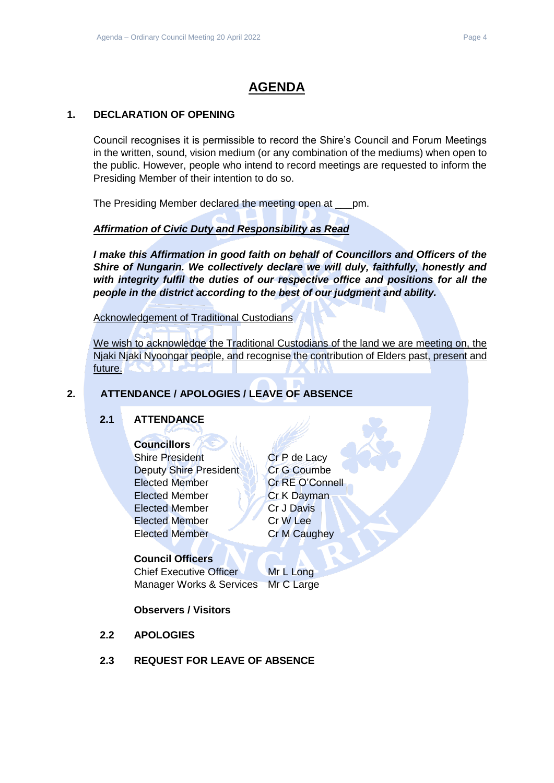## **AGENDA**

## <span id="page-3-0"></span>**1. DECLARATION OF OPENING**

Council recognises it is permissible to record the Shire's Council and Forum Meetings in the written, sound, vision medium (or any combination of the mediums) when open to the public. However, people who intend to record meetings are requested to inform the Presiding Member of their intention to do so.

The Presiding Member declared the meeting open at \_\_\_pm.

## *Affirmation of Civic Duty and Responsibility as Read*

*I make this Affirmation in good faith on behalf of Councillors and Officers of the Shire of Nungarin. We collectively declare we will duly, faithfully, honestly and with integrity fulfil the duties of our respective office and positions for all the people in the district according to the best of our judgment and ability.*

Acknowledgement of Traditional Custodians

We wish to acknowledge the Traditional Custodians of the land we are meeting on, the Njaki Njaki Nyoongar people, and recognise the contribution of Elders past, present and future.

## <span id="page-3-2"></span><span id="page-3-1"></span>**2. ATTENDANCE / APOLOGIES / LEAVE OF ABSENCE**

## **2.1 ATTENDANCE**

## **Councillors**

Shire President NAMI Cr P de Lacy Deputy Shire President Cr G Coumbe Elected Member **Cr RE O'Connell** Elected Member Cr K Dayman Elected Member **Cr** J Davis Elected Member Cr W Lee Elected Member Cr M Caughey

## **Council Officers**

Chief Executive Officer Mr L Long Manager Works & Services Mr C Large

## **Observers / Visitors**

- <span id="page-3-3"></span>**2.2 APOLOGIES**
- <span id="page-3-4"></span>**2.3 REQUEST FOR LEAVE OF ABSENCE**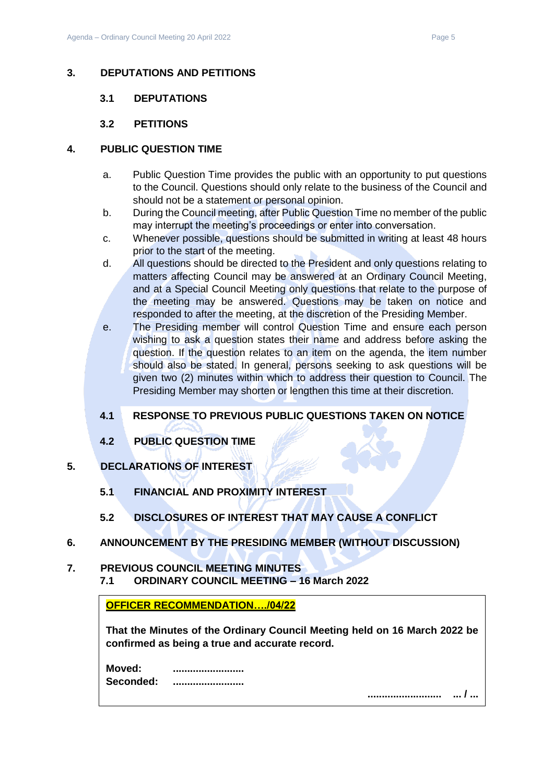### <span id="page-4-1"></span><span id="page-4-0"></span>**3. DEPUTATIONS AND PETITIONS**

#### **3.1 DEPUTATIONS**

### **3.2 PETITIONS**

#### <span id="page-4-3"></span><span id="page-4-2"></span>**4. PUBLIC QUESTION TIME**

- a. Public Question Time provides the public with an opportunity to put questions to the Council. Questions should only relate to the business of the Council and should not be a statement or personal opinion.
- b. During the Council meeting, after Public Question Time no member of the public may interrupt the meeting's proceedings or enter into conversation.
- c. Whenever possible, questions should be submitted in writing at least 48 hours prior to the start of the meeting.
- d. All questions should be directed to the President and only questions relating to matters affecting Council may be answered at an Ordinary Council Meeting, and at a Special Council Meeting only questions that relate to the purpose of the meeting may be answered. Questions may be taken on notice and responded to after the meeting, at the discretion of the Presiding Member.
- e. The Presiding member will control Question Time and ensure each person wishing to ask a question states their name and address before asking the question. If the question relates to an item on the agenda, the item number should also be stated. In general, persons seeking to ask questions will be given two (2) minutes within which to address their question to Council. The Presiding Member may shorten or lengthen this time at their discretion.

## <span id="page-4-4"></span>**4.1 RESPONSE TO PREVIOUS PUBLIC QUESTIONS TAKEN ON NOTICE**

- **4.2 PUBLIC QUESTION TIME**
- <span id="page-4-7"></span><span id="page-4-6"></span><span id="page-4-5"></span>**5. DECLARATIONS OF INTEREST**
	- **5.1 FINANCIAL AND PROXIMITY INTEREST**
	- **5.2 DISCLOSURES OF INTEREST THAT MAY CAUSE A CONFLICT**
- <span id="page-4-9"></span><span id="page-4-8"></span>**6. ANNOUNCEMENT BY THE PRESIDING MEMBER (WITHOUT DISCUSSION)**

## <span id="page-4-11"></span><span id="page-4-10"></span>**7. PREVIOUS COUNCIL MEETING MINUTES 7.1 ORDINARY COUNCIL MEETING – 16 March 2022**

**OFFICER RECOMMENDATION…./04/22** 

**That the Minutes of the Ordinary Council Meeting held on 16 March 2022 be confirmed as being a true and accurate record.**

**Moved: ......................... Seconded: .........................**

**.......................... ... / ...**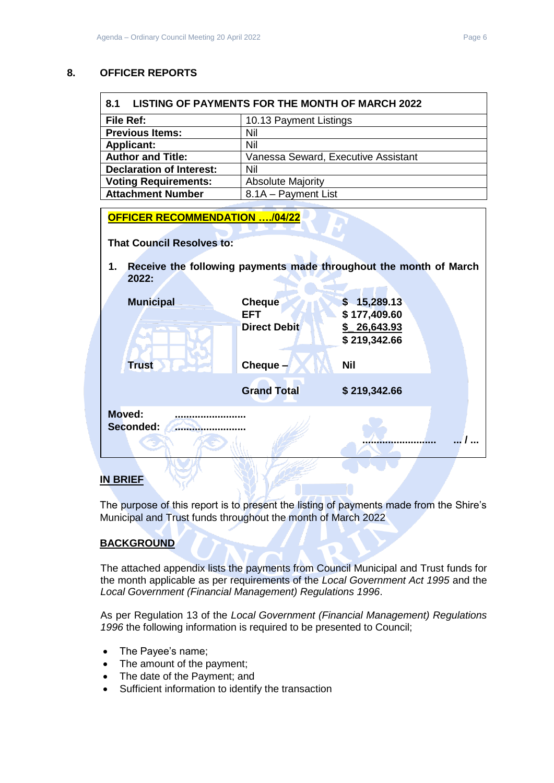## <span id="page-5-0"></span>**8. OFFICER REPORTS**

<span id="page-5-1"></span>

| LISTING OF PAYMENTS FOR THE MONTH OF MARCH 2022<br>8.1 |                                     |  |  |  |
|--------------------------------------------------------|-------------------------------------|--|--|--|
| File Ref:                                              | 10.13 Payment Listings              |  |  |  |
| <b>Previous Items:</b>                                 | Nil                                 |  |  |  |
| <b>Applicant:</b>                                      | Nil                                 |  |  |  |
| <b>Author and Title:</b>                               | Vanessa Seward, Executive Assistant |  |  |  |
| <b>Declaration of Interest:</b>                        | Nil                                 |  |  |  |
| <b>Voting Requirements:</b>                            | <b>Absolute Majority</b>            |  |  |  |
| <b>Attachment Number</b>                               | 8.1A - Payment List                 |  |  |  |

| <b>OFFICER RECOMMENDATION /04/22</b> |                             |                                                                   |
|--------------------------------------|-----------------------------|-------------------------------------------------------------------|
| <b>That Council Resolves to:</b>     |                             |                                                                   |
| 1.<br>2022:                          |                             | Receive the following payments made throughout the month of March |
| <b>Municipal</b>                     | <b>Cheque</b><br><b>EFT</b> | \$15,289.13<br>\$177,409.60                                       |
|                                      | <b>Direct Debit</b>         | \$26,643.93<br>\$219,342.66                                       |
| <b>Trust</b>                         | Cheque $-$                  | <b>Nil</b>                                                        |
|                                      | <b>Grand Total</b>          | \$219,342.66                                                      |
| Moved:<br>Seconded:                  |                             |                                                                   |
|                                      |                             |                                                                   |

## **IN BRIEF**

The purpose of this report is to present the listing of payments made from the Shire's Municipal and Trust funds throughout the month of March 2022

## **BACKGROUND**

The attached appendix lists the payments from Council Municipal and Trust funds for the month applicable as per requirements of the *Local Government Act 1995* and the *Local Government (Financial Management) Regulations 1996*.

As per Regulation 13 of the *Local Government (Financial Management) Regulations 1996* the following information is required to be presented to Council;

- The Payee's name;
- The amount of the payment;
- The date of the Payment; and
- Sufficient information to identify the transaction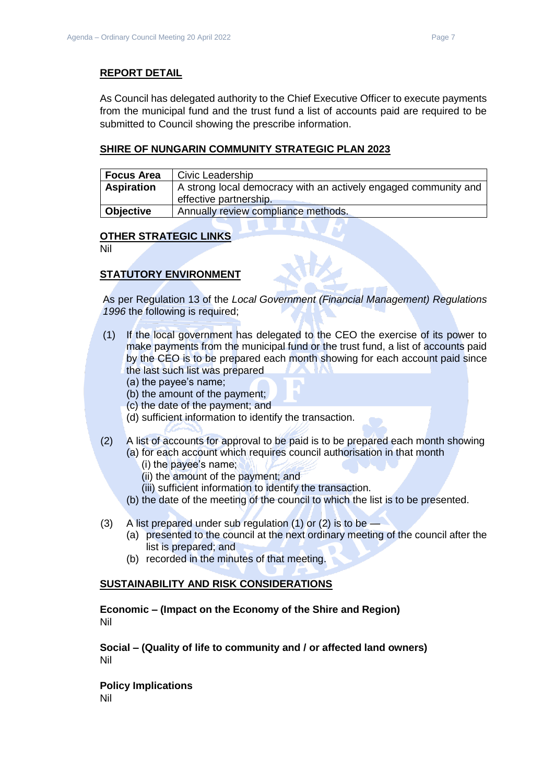### **REPORT DETAIL**

As Council has delegated authority to the Chief Executive Officer to execute payments from the municipal fund and the trust fund a list of accounts paid are required to be submitted to Council showing the prescribe information.

### **SHIRE OF NUNGARIN COMMUNITY STRATEGIC PLAN 2023**

| <b>Focus Area</b> | Civic Leadership                                                |
|-------------------|-----------------------------------------------------------------|
| <b>Aspiration</b> | A strong local democracy with an actively engaged community and |
|                   | effective partnership.                                          |
| <b>Objective</b>  | Annually review compliance methods.                             |

#### **OTHER STRATEGIC LINKS**

Nil

## **STATUTORY ENVIRONMENT**

As per Regulation 13 of the *Local Government (Financial Management) Regulations 1996* the following is required;

- (1) If the local government has delegated to the CEO the exercise of its power to make payments from the municipal fund or the trust fund, a list of accounts paid by the CEO is to be prepared each month showing for each account paid since the last such list was prepared
	- (a) the payee's name;
	- (b) the amount of the payment;
	- (c) the date of the payment; and
	- (d) sufficient information to identify the transaction.
- (2) A list of accounts for approval to be paid is to be prepared each month showing (a) for each account which requires council authorisation in that month
	- (i) the payee's name;
	- (ii) the amount of the payment; and
	- (iii) sufficient information to identify the transaction.
	- (b) the date of the meeting of the council to which the list is to be presented.
- (3) A list prepared under sub regulation (1) or (2) is to be
	- (a) presented to the council at the next ordinary meeting of the council after the list is prepared; and
	- (b) recorded in the minutes of that meeting.

#### **SUSTAINABILITY AND RISK CONSIDERATIONS**

**Economic – (Impact on the Economy of the Shire and Region)** Nil

**Social – (Quality of life to community and / or affected land owners)** Nil

**Policy Implications** Nil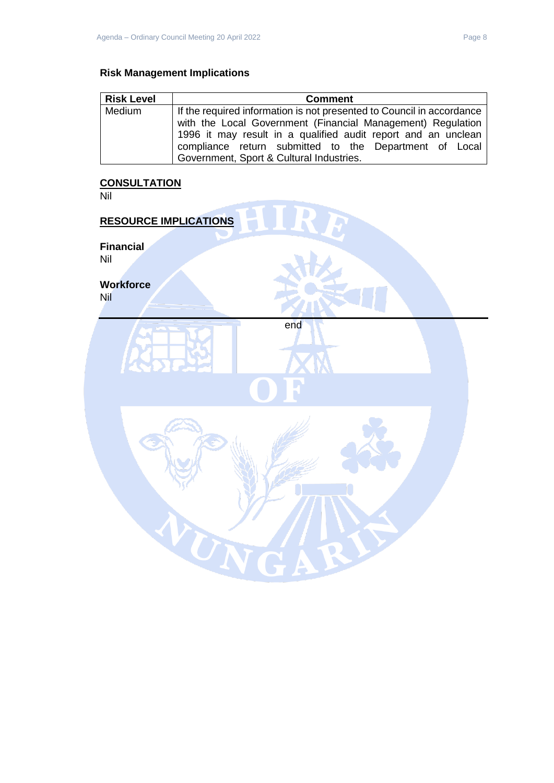## **Risk Management Implications**

| <b>Risk Level</b> | <b>Comment</b>                                                        |  |  |
|-------------------|-----------------------------------------------------------------------|--|--|
| Medium            | If the required information is not presented to Council in accordance |  |  |
|                   | with the Local Government (Financial Management) Regulation           |  |  |
|                   | 1996 it may result in a qualified audit report and an unclean         |  |  |
|                   | compliance return submitted to the Department of Local                |  |  |
|                   | Government, Sport & Cultural Industries.                              |  |  |

#### **CONSULTATION**

Nil

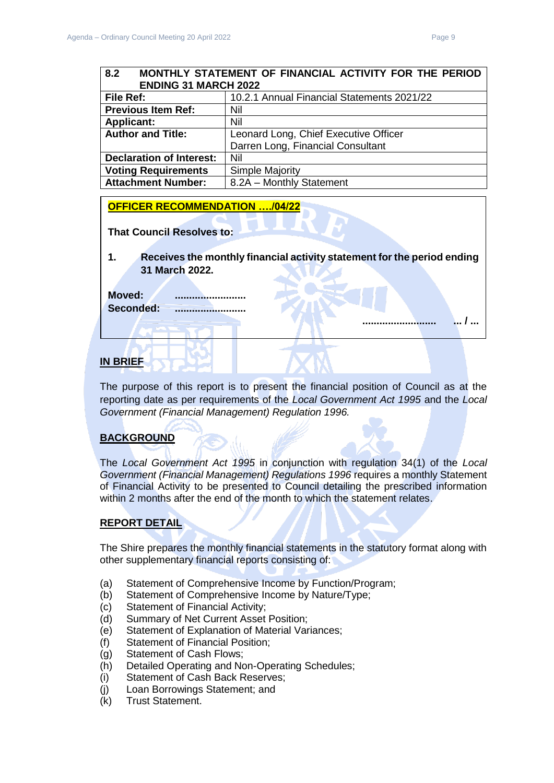**.......................... ... / ...** 

## <span id="page-8-0"></span>**8.2 MONTHLY STATEMENT OF FINANCIAL ACTIVITY FOR THE PERIOD ENDING 31 MARCH 2022 File Ref:** 10.2.1 Annual Financial Statements 2021/22 **Previous Item Ref:** Nil **Applicant:** Nil **Author and Title:** Leonard Long, Chief Executive Officer Darren Long, Financial Consultant **Declaration of Interest:** Nil **Voting Requirements** Simple Majority **Attachment Number:** | 8.2A – Monthly Statement

## **OFFICER RECOMMENDATION …./04/22**

**That Council Resolves to:** 

**1. Receives the monthly financial activity statement for the period ending 31 March 2022.**

**Moved: .........................** Seconded: ......................

## **IN BRIEF**

The purpose of this report is to present the financial position of Council as at the reporting date as per requirements of the *Local Government Act 1995* and the *Local Government (Financial Management) Regulation 1996.*

## **BACKGROUND**

The *Local Government Act 1995* in conjunction with regulation 34(1) of the *Local Government (Financial Management) Regulations 1996* requires a monthly Statement of Financial Activity to be presented to Council detailing the prescribed information within 2 months after the end of the month to which the statement relates.

## **REPORT DETAIL**

The Shire prepares the monthly financial statements in the statutory format along with other supplementary financial reports consisting of:

- (a) Statement of Comprehensive Income by Function/Program;
- (b) Statement of Comprehensive Income by Nature/Type;
- (c) Statement of Financial Activity;
- (d) Summary of Net Current Asset Position;
- (e) Statement of Explanation of Material Variances;
- (f) Statement of Financial Position;
- (g) Statement of Cash Flows;
- (h) Detailed Operating and Non-Operating Schedules;
- (i) Statement of Cash Back Reserves;
- (j) Loan Borrowings Statement; and
- (k) Trust Statement.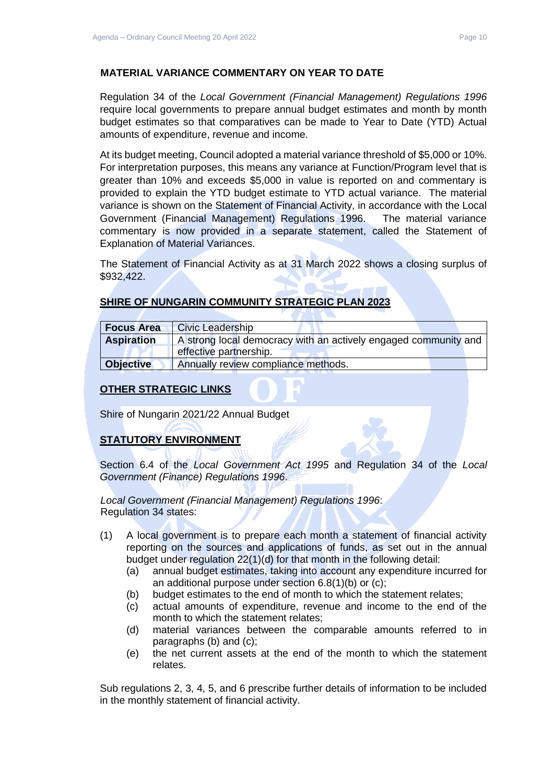## **MATERIAL VARIANCE COMMENTARY ON YEAR TO DATE**

Regulation 34 of the *Local Government (Financial Management) Regulations 1996*  require local governments to prepare annual budget estimates and month by month budget estimates so that comparatives can be made to Year to Date (YTD) Actual amounts of expenditure, revenue and income.

At its budget meeting, Council adopted a material variance threshold of \$5,000 or 10%. For interpretation purposes, this means any variance at Function/Program level that is greater than 10% and exceeds \$5,000 in value is reported on and commentary is provided to explain the YTD budget estimate to YTD actual variance. The material variance is shown on the Statement of Financial Activity, in accordance with the Local Government (Financial Management) Regulations 1996. The material variance commentary is now provided in a separate statement, called the Statement of Explanation of Material Variances.

The Statement of Financial Activity as at 31 March 2022 shows a closing surplus of \$932,422.

## **SHIRE OF NUNGARIN COMMUNITY STRATEGIC PLAN 2023**

| <b>Focus Area</b> | Civic Leadership                                                |  |  |  |  |
|-------------------|-----------------------------------------------------------------|--|--|--|--|
| <b>Aspiration</b> | A strong local democracy with an actively engaged community and |  |  |  |  |
|                   | effective partnership.                                          |  |  |  |  |
| <b>Objective</b>  | Annually review compliance methods.                             |  |  |  |  |

## **OTHER STRATEGIC LINKS**

Shire of Nungarin 2021/22 Annual Budget

## **STATUTORY ENVIRONMENT**

Section 6.4 of the *Local Government Act 1995* and Regulation 34 of the *Local Government (Finance) Regulations 1996*.

*Local Government (Financial Management) Regulations 1996*: Regulation 34 states:

- (1) A local government is to prepare each month a statement of financial activity reporting on the sources and applications of funds, as set out in the annual budget under regulation 22(1)(d) for that month in the following detail:
	- (a) annual budget estimates, taking into account any expenditure incurred for an additional purpose under section 6.8(1)(b) or (c);
	- (b) budget estimates to the end of month to which the statement relates;
	- (c) actual amounts of expenditure, revenue and income to the end of the month to which the statement relates;
	- (d) material variances between the comparable amounts referred to in paragraphs (b) and (c);
	- (e) the net current assets at the end of the month to which the statement relates.

Sub regulations 2, 3, 4, 5, and 6 prescribe further details of information to be included in the monthly statement of financial activity.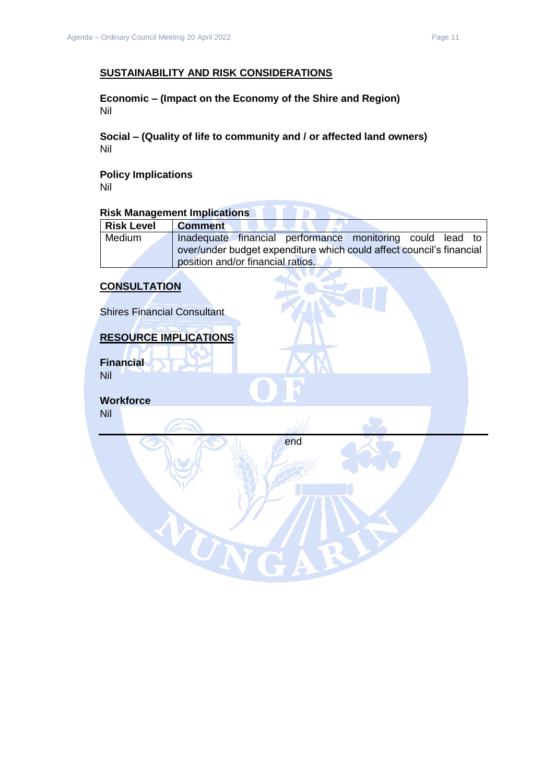## **SUSTAINABILITY AND RISK CONSIDERATIONS**

**Economic – (Impact on the Economy of the Shire and Region)** Nil

**Social – (Quality of life to community and / or affected land owners)** Nil

**Policy Implications** Nil

# **Risk Management Implications**

| <b>Risk Level</b> | <b>Comment</b>                                                       |
|-------------------|----------------------------------------------------------------------|
| Medium            | Inadequate financial performance monitoring could lead to            |
|                   | over/under budget expenditure which could affect council's financial |
|                   | position and/or financial ratios.                                    |

## **CONSULTATION**

Shires Financial Consultant

#### **RESOURCE IMPLICATIONS**

WN

**Financial** Nil

**Workforce** Nil

end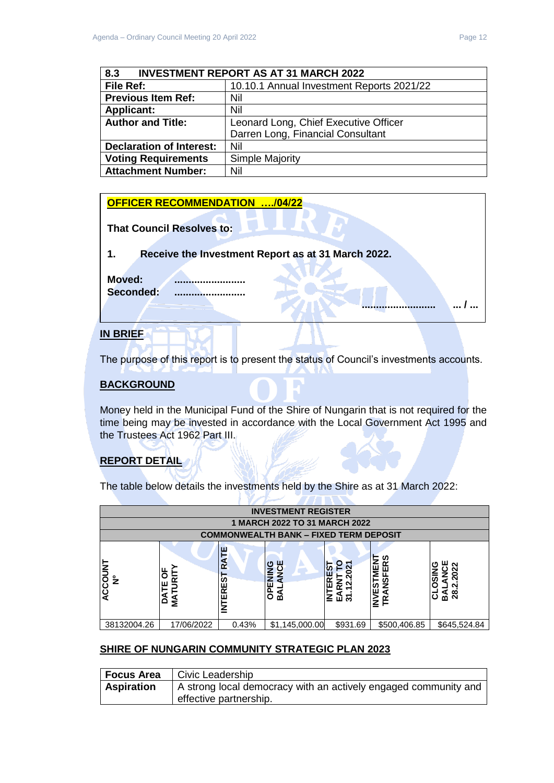**.......................... ... / ...** 

<span id="page-11-0"></span>

| <b>INVESTMENT REPORT AS AT 31 MARCH 2022</b><br>8.3 |                                           |  |  |  |
|-----------------------------------------------------|-------------------------------------------|--|--|--|
| File Ref:                                           | 10.10.1 Annual Investment Reports 2021/22 |  |  |  |
| <b>Previous Item Ref:</b>                           | Nil                                       |  |  |  |
| <b>Applicant:</b>                                   | Nil                                       |  |  |  |
| <b>Author and Title:</b>                            | Leonard Long, Chief Executive Officer     |  |  |  |
|                                                     | Darren Long, Financial Consultant         |  |  |  |
| <b>Declaration of Interest:</b>                     | Nil                                       |  |  |  |
| <b>Voting Requirements</b>                          | Simple Majority                           |  |  |  |
| <b>Attachment Number:</b>                           | Nil                                       |  |  |  |

#### **OFFICER RECOMMENDATION …./04/22**

| <b>That Council Resolves to:</b> |  |  |
|----------------------------------|--|--|
|                                  |  |  |

**1. Receive the Investment Report as at 31 March 2022.**

**Moved: ......................... Seconded: .........................**

## **IN BRIEF**

The purpose of this report is to present the status of Council's investments accounts.

## **BACKGROUND**

Money held in the Municipal Fund of the Shire of Nungarin that is not required for the time being may be invested in accordance with the Local Government Act 1995 and the Trustees Act 1962 Part III.

## **REPORT DETAIL**

The table below details the investments held by the Shire as at 31 March 2022:

|                        | <b>INVESTMENT REGISTER</b>      |                         |                                                           |              |                                                             |                                    |
|------------------------|---------------------------------|-------------------------|-----------------------------------------------------------|--------------|-------------------------------------------------------------|------------------------------------|
|                        |                                 |                         | 1 MARCH 2022 TO 31 MARCH 2022                             |              |                                                             |                                    |
|                        |                                 |                         | <b>COMMONWEALTH BANK - FIXED TERM DEPOSIT</b>             |              |                                                             |                                    |
| ACCOUNT<br>$\tilde{z}$ | p<br>⊢<br>≅<br>ш<br>-<br>á<br>≨ | RATE<br><b>INTEREST</b> | ш<br>O<br>$\frac{c}{2}$<br>ENIN<br>$\overline{6}$<br>ิ์ธ์ | œ<br>같<br>교원 | ທ<br>≃<br>ш<br>Ξ<br>$\frac{9}{2}$<br>57<br>ш<br>a<br>≃<br>≙ | ິ<br><b>SC</b><br><u>ଣ</u> ଷ୍<br>ပ |
| 38132004.26            | 17/06/2022                      | 0.43%                   | \$1,145,000.00                                            | \$931.69     | \$500,406.85                                                | \$645,524.84                       |

## **SHIRE OF NUNGARIN COMMUNITY STRATEGIC PLAN 2023**

| Focus Area        | Civic Leadership                                                |
|-------------------|-----------------------------------------------------------------|
| <b>Aspiration</b> | A strong local democracy with an actively engaged community and |
|                   | effective partnership.                                          |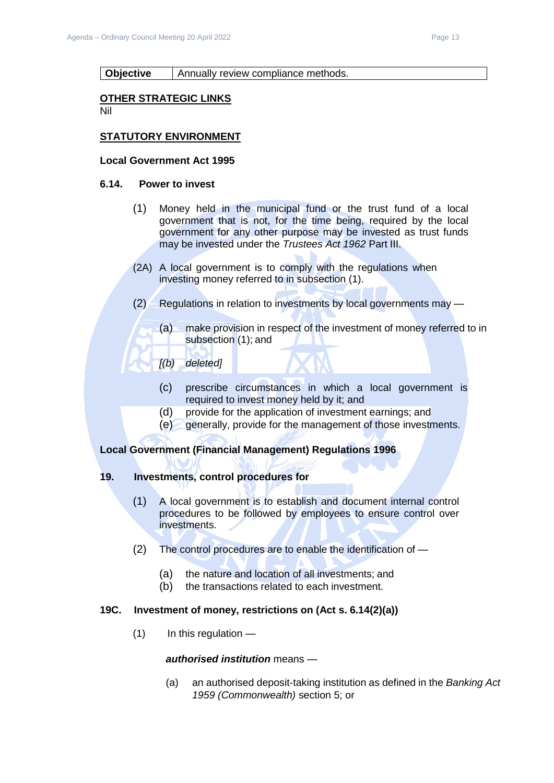#### **Objective** | Annually review compliance methods.

#### **OTHER STRATEGIC LINKS**

Nil

### **STATUTORY ENVIRONMENT**

#### **Local Government Act 1995**

#### **6.14. Power to invest**

- (1) Money held in the municipal fund or the trust fund of a local government that is not, for the time being, required by the local government for any other purpose may be invested as trust funds may be invested under the *Trustees Act 1962* Part III.
- (2A) A local government is to comply with the regulations when investing money referred to in subsection (1).
- (2) Regulations in relation to investments by local governments may
	- (a) make provision in respect of the investment of money referred to in subsection (1); and
	- *[(b) deleted]*
		- (c) prescribe circumstances in which a local government is required to invest money held by it; and
		- (d) provide for the application of investment earnings; and
		- (e) generally, provide for the management of those investments.

#### **Local Government (Financial Management) Regulations 1996**

### **19. Investments, control procedures for**

- (1) A local government is to establish and document internal control procedures to be followed by employees to ensure control over investments.
- (2) The control procedures are to enable the identification of
	- (a) the nature and location of all investments; and
	- (b) the transactions related to each investment.

#### **19C. Investment of money, restrictions on (Act s. 6.14(2)(a))**

 $(1)$  In this regulation —

#### *authorised institution* means —

(a) an authorised deposit-taking institution as defined in the *Banking Act 1959 (Commonwealth)* section 5; or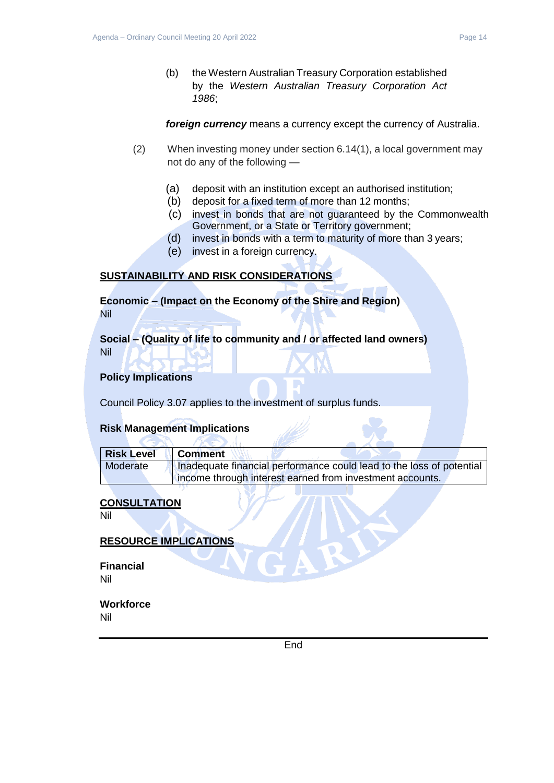*1986*;

*foreign currency* means a currency except the currency of Australia.

- (2) When investing money under section 6.14(1), a local government may not do any of the following —
	- (a) deposit with an institution except an authorised institution;
	- (b) deposit for a fixed term of more than 12 months;
	- (c) invest in bonds that are not guaranteed by the Commonwealth Government, or a State or Territory government;
	- (d) invest in bonds with a term to maturity of more than 3 years;
	- (e) invest in a foreign currency.

## **SUSTAINABILITY AND RISK CONSIDERATIONS**

**Economic – (Impact on the Economy of the Shire and Region)** Nil

**Social – (Quality of life to community and / or affected land owners)** Nil

## **Policy Implications**

Council Policy 3.07 applies to the investment of surplus funds.

 $\sqrt{10}$ 

## **Risk Management Implications**

 $\sim$ 

| <b>Risk Level</b> | <b>Comment</b>                                                       |
|-------------------|----------------------------------------------------------------------|
| Moderate          | Inadequate financial performance could lead to the loss of potential |
|                   | income through interest earned from investment accounts.             |

## **CONSULTATION**

Nil

## **RESOURCE IMPLICATIONS**

**Financial** Nil

**Workforce**

Nil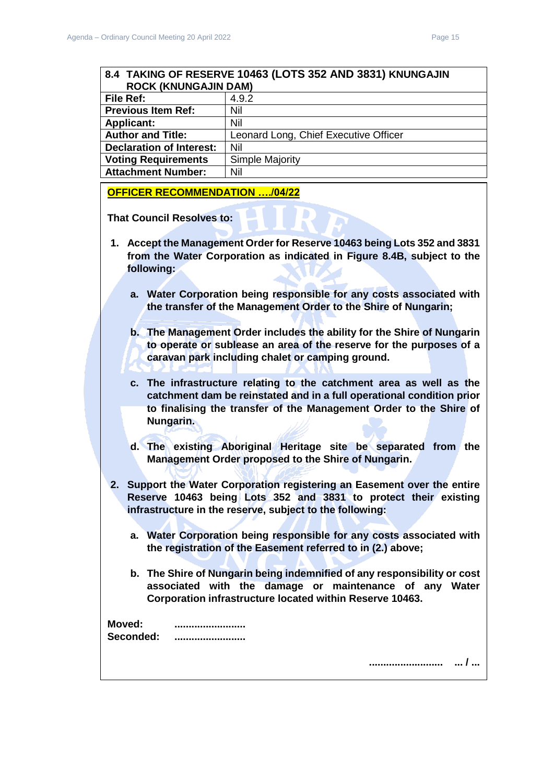<span id="page-14-0"></span>

| 8.4 TAKING OF RESERVE 10463 (LOTS 352 AND 3831) KNUNGAJIN |                                       |  |
|-----------------------------------------------------------|---------------------------------------|--|
| <b>ROCK (KNUNGAJIN DAM)</b>                               |                                       |  |
| File Ref:                                                 | 4.9.2                                 |  |
| <b>Previous Item Ref:</b>                                 | Nil                                   |  |
| <b>Applicant:</b>                                         | Nil                                   |  |
| <b>Author and Title:</b>                                  | Leonard Long, Chief Executive Officer |  |
| <b>Declaration of Interest:</b>                           | Nil                                   |  |
| <b>Voting Requirements</b>                                | <b>Simple Majority</b>                |  |
| <b>Attachment Number:</b>                                 | Nil                                   |  |
| <b>OFFICER RECOMMENDATION /04/22</b>                      |                                       |  |
| <b>That Council Resolves to:</b>                          |                                       |  |

- **1. Accept the Management Order for Reserve 10463 being Lots 352 and 3831 from the Water Corporation as indicated in Figure 8.4B, subject to the following:**
	- **a. Water Corporation being responsible for any costs associated with the transfer of the Management Order to the Shire of Nungarin;**
	- **b. The Management Order includes the ability for the Shire of Nungarin to operate or sublease an area of the reserve for the purposes of a caravan park including chalet or camping ground.**
	- **c. The infrastructure relating to the catchment area as well as the catchment dam be reinstated and in a full operational condition prior to finalising the transfer of the Management Order to the Shire of Nungarin.**
	- **d. The existing Aboriginal Heritage site be separated from the Management Order proposed to the Shire of Nungarin.**
- **2. Support the Water Corporation registering an Easement over the entire Reserve 10463 being Lots 352 and 3831 to protect their existing infrastructure in the reserve, subject to the following:**
	- **a. Water Corporation being responsible for any costs associated with the registration of the Easement referred to in (2.) above;**
	- **b. The Shire of Nungarin being indemnified of any responsibility or cost associated with the damage or maintenance of any Water Corporation infrastructure located within Reserve 10463.**

**.......................... ... / ...** 

| Moved:    | -------------------------- |
|-----------|----------------------------|
| Seconded: | -------------------------- |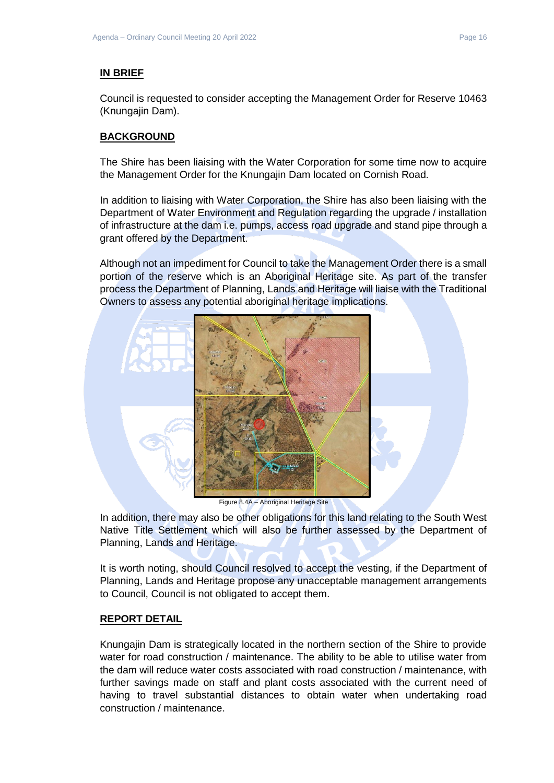## **IN BRIEF**

Council is requested to consider accepting the Management Order for Reserve 10463 (Knungajin Dam).

## **BACKGROUND**

The Shire has been liaising with the Water Corporation for some time now to acquire the Management Order for the Knungajin Dam located on Cornish Road.

In addition to liaising with Water Corporation, the Shire has also been liaising with the Department of Water Environment and Regulation regarding the upgrade / installation of infrastructure at the dam i.e. pumps, access road upgrade and stand pipe through a grant offered by the Department.

Although not an impediment for Council to take the Management Order there is a small portion of the reserve which is an Aboriginal Heritage site. As part of the transfer process the Department of Planning, Lands and Heritage will liaise with the Traditional Owners to assess any potential aboriginal heritage implications.



Figure 8.4A – Aboriginal Heritage Site

In addition, there may also be other obligations for this land relating to the South West Native Title Settlement which will also be further assessed by the Department of Planning, Lands and Heritage.

It is worth noting, should Council resolved to accept the vesting, if the Department of Planning, Lands and Heritage propose any unacceptable management arrangements to Council, Council is not obligated to accept them.

## **REPORT DETAIL**

Knungajin Dam is strategically located in the northern section of the Shire to provide water for road construction / maintenance. The ability to be able to utilise water from the dam will reduce water costs associated with road construction / maintenance, with further savings made on staff and plant costs associated with the current need of having to travel substantial distances to obtain water when undertaking road construction / maintenance.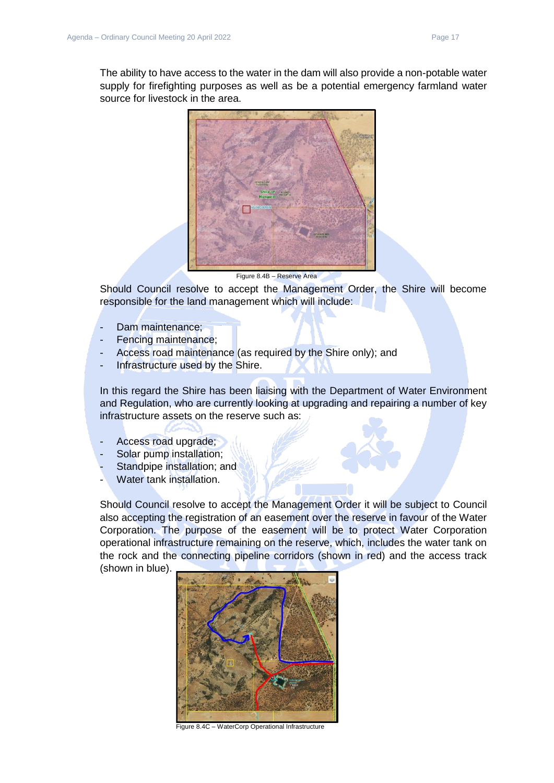

Should Council resolve to accept the Management Order, the Shire will become responsible for the land management which will include:

- Dam maintenance;
- Fencing maintenance;
- Access road maintenance (as required by the Shire only); and
- Infrastructure used by the Shire.

In this regard the Shire has been liaising with the Department of Water Environment and Regulation, who are currently looking at upgrading and repairing a number of key infrastructure assets on the reserve such as:

- Access road upgrade;
- Solar pump installation:
- Standpipe installation; and
- Water tank installation.

Should Council resolve to accept the Management Order it will be subject to Council also accepting the registration of an easement over the reserve in favour of the Water Corporation. The purpose of the easement will be to protect Water Corporation operational infrastructure remaining on the reserve, which, includes the water tank on the rock and the connecting pipeline corridors (shown in red) and the access track (shown in blue).



Figure 8.4C – WaterCorp Operational Infrastructure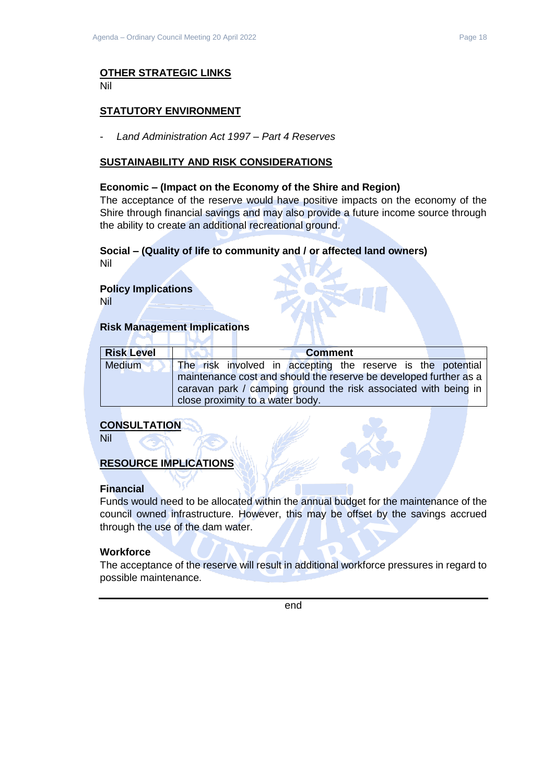#### **OTHER STRATEGIC LINKS** Nil

## **STATUTORY ENVIRONMENT**

- *Land Administration Act 1997 – Part 4 Reserves*

### **SUSTAINABILITY AND RISK CONSIDERATIONS**

#### **Economic – (Impact on the Economy of the Shire and Region)**

The acceptance of the reserve would have positive impacts on the economy of the Shire through financial savings and may also provide a future income source through the ability to create an additional recreational ground.

## **Social – (Quality of life to community and / or affected land owners)**

Nil

## **Policy Implications**

Nil

## **Risk Management Implications**

| <b>Risk Level</b> | <b>Comment</b>                                                    |  |  |
|-------------------|-------------------------------------------------------------------|--|--|
| Medium            | The risk involved in accepting the reserve is the potential       |  |  |
|                   | maintenance cost and should the reserve be developed further as a |  |  |
|                   | caravan park / camping ground the risk associated with being in   |  |  |
|                   | close proximity to a water body.                                  |  |  |

## **CONSULTATION**

Nil

## **RESOURCE IMPLICATIONS**

## **Financial**

Funds would need to be allocated within the annual budget for the maintenance of the council owned infrastructure. However, this may be offset by the savings accrued through the use of the dam water.

#### **Workforce**

The acceptance of the reserve will result in additional workforce pressures in regard to possible maintenance.

end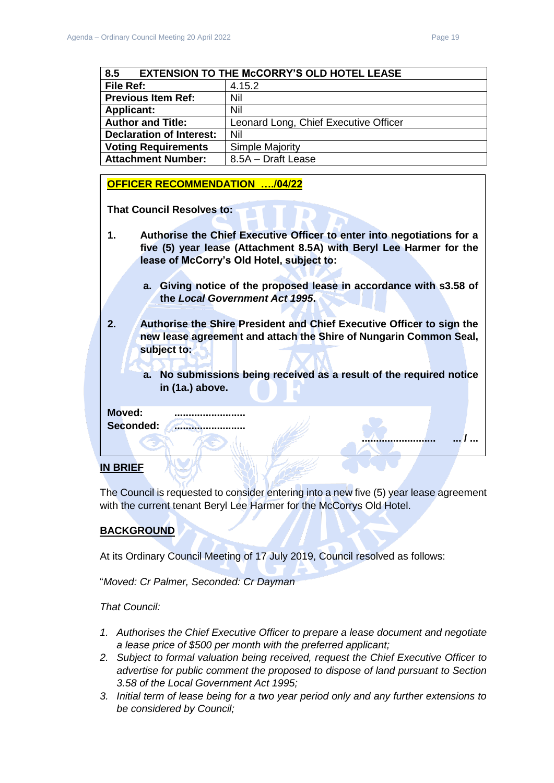**.......................... ... / ...** 

<span id="page-18-0"></span>

| <b>EXTENSION TO THE McCORRY'S OLD HOTEL LEASE</b><br>8.5 |                                       |
|----------------------------------------------------------|---------------------------------------|
| File Ref:                                                | 4.15.2                                |
| <b>Previous Item Ref:</b>                                | Nil                                   |
| <b>Applicant:</b>                                        | Nil                                   |
| <b>Author and Title:</b>                                 | Leonard Long, Chief Executive Officer |
| <b>Declaration of Interest:</b>                          | Nil                                   |
| <b>Voting Requirements</b>                               | <b>Simple Majority</b>                |
| <b>Attachment Number:</b>                                | 8.5A - Draft Lease                    |

#### **OFFICER RECOMMENDATION …./04/22**

**That Council Resolves to:** 

- **1. Authorise the Chief Executive Officer to enter into negotiations for a five (5) year lease (Attachment 8.5A) with Beryl Lee Harmer for the lease of McCorry's Old Hotel, subject to:**
	- **a. Giving notice of the proposed lease in accordance with s3.58 of the** *Local Government Act 1995***.**
- **2. Authorise the Shire President and Chief Executive Officer to sign the new lease agreement and attach the Shire of Nungarin Common Seal, subject to:**
	- **a. No submissions being received as a result of the required notice in (1a.) above.**

**Moved: .........................**

Seconded: **.........................** 

#### **IN BRIEF**

The Council is requested to consider entering into a new five (5) year lease agreement with the current tenant Beryl Lee Harmer for the McCorrys Old Hotel.

## **BACKGROUND**

At its Ordinary Council Meeting of 17 July 2019, Council resolved as follows:

"*Moved: Cr Palmer, Seconded: Cr Dayman*

## *That Council:*

- *1. Authorises the Chief Executive Officer to prepare a lease document and negotiate a lease price of \$500 per month with the preferred applicant;*
- *2. Subject to formal valuation being received, request the Chief Executive Officer to advertise for public comment the proposed to dispose of land pursuant to Section 3.58 of the Local Government Act 1995;*
- *3. Initial term of lease being for a two year period only and any further extensions to be considered by Council;*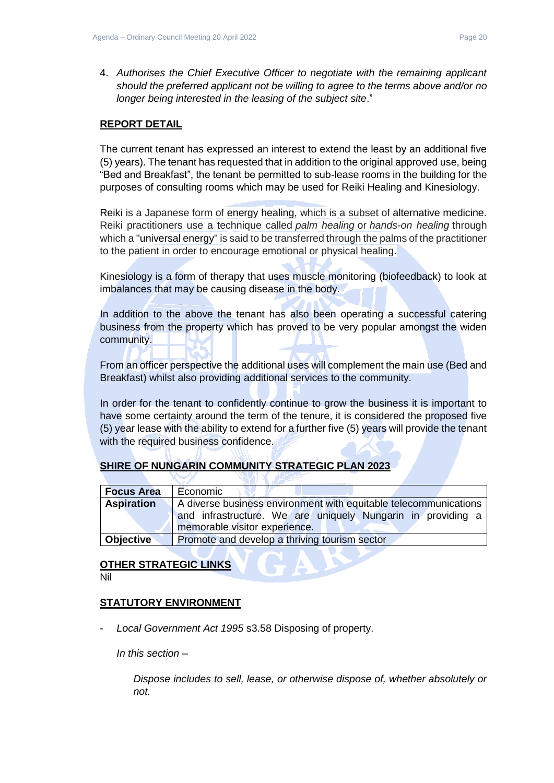4. *Authorises the Chief Executive Officer to negotiate with the remaining applicant should the preferred applicant not be willing to agree to the terms above and/or no longer being interested in the leasing of the subject site*."

### **REPORT DETAIL**

The current tenant has expressed an interest to extend the least by an additional five (5) years). The tenant has requested that in addition to the original approved use, being "Bed and Breakfast", the tenant be permitted to sub-lease rooms in the building for the purposes of consulting rooms which may be used for Reiki Healing and Kinesiology.

Reiki is a Japanese form of energy healing, which is a subset of alternative medicine. Reiki practitioners use a technique called *palm healing* or *hands-on healing* through which a "universal energy" is said to be transferred through the palms of the practitioner to the patient in order to encourage emotional or physical healing.

Kinesiology is a form of therapy that uses muscle monitoring (biofeedback) to look at imbalances that may be causing disease in the body.

In addition to the above the tenant has also been operating a successful catering business from the property which has proved to be very popular amongst the widen community.

From an officer perspective the additional uses will complement the main use (Bed and Breakfast) whilst also providing additional services to the community.

In order for the tenant to confidently continue to grow the business it is important to have some certainty around the term of the tenure, it is considered the proposed five (5) year lease with the ability to extend for a further five (5) years will provide the tenant with the required business confidence.

## **SHIRE OF NUNGARIN COMMUNITY STRATEGIC PLAN 2023**

| <b>Focus Area</b> | Economic                                                         |  |
|-------------------|------------------------------------------------------------------|--|
| <b>Aspiration</b> | A diverse business environment with equitable telecommunications |  |
|                   | and infrastructure. We are uniquely Nungarin in providing a      |  |
|                   | memorable visitor experience.                                    |  |
| <b>Objective</b>  | Promote and develop a thriving tourism sector                    |  |

## **OTHER STRATEGIC LINKS**

Nil

## **STATUTORY ENVIRONMENT**

- *Local Government Act 1995* s3.58 Disposing of property.

*In this section –*

*Dispose includes to sell, lease, or otherwise dispose of, whether absolutely or not.*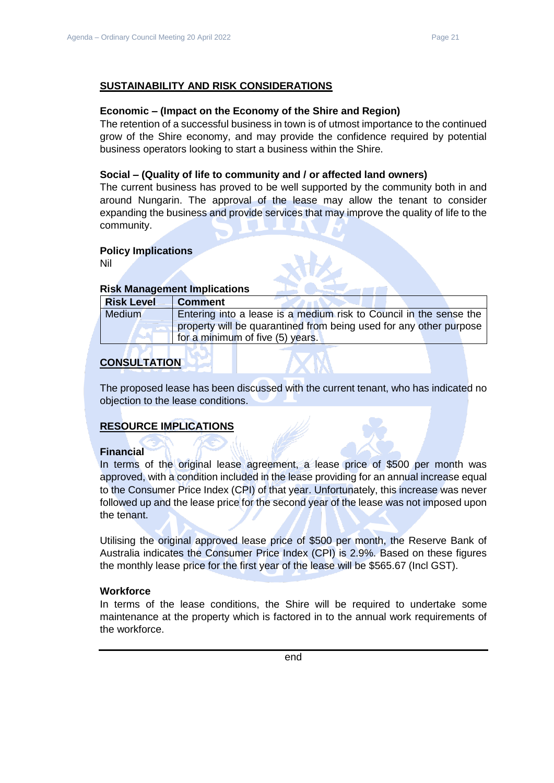## **SUSTAINABILITY AND RISK CONSIDERATIONS**

#### **Economic – (Impact on the Economy of the Shire and Region)**

The retention of a successful business in town is of utmost importance to the continued grow of the Shire economy, and may provide the confidence required by potential business operators looking to start a business within the Shire.

#### **Social – (Quality of life to community and / or affected land owners)**

The current business has proved to be well supported by the community both in and around Nungarin. The approval of the lease may allow the tenant to consider expanding the business and provide services that may improve the quality of life to the community.

#### **Policy Implications**

Nil

#### **Risk Management Implications**

| <b>Risk Level</b> | <b>Comment</b>                                                     |
|-------------------|--------------------------------------------------------------------|
| Medium            | Entering into a lease is a medium risk to Council in the sense the |
|                   | property will be quarantined from being used for any other purpose |
|                   | for a minimum of five (5) years.                                   |

### **CONSULTATION**

The proposed lease has been discussed with the current tenant, who has indicated no objection to the lease conditions.

#### **RESOURCE IMPLICATIONS**

#### **Financial**

In terms of the original lease agreement, a lease price of \$500 per month was approved, with a condition included in the lease providing for an annual increase equal to the Consumer Price Index (CPI) of that year. Unfortunately, this increase was never followed up and the lease price for the second year of the lease was not imposed upon the tenant.

Utilising the original approved lease price of \$500 per month, the Reserve Bank of Australia indicates the Consumer Price Index (CPI) is 2.9%. Based on these figures the monthly lease price for the first year of the lease will be \$565.67 (Incl GST).

#### **Workforce**

In terms of the lease conditions, the Shire will be required to undertake some maintenance at the property which is factored in to the annual work requirements of the workforce.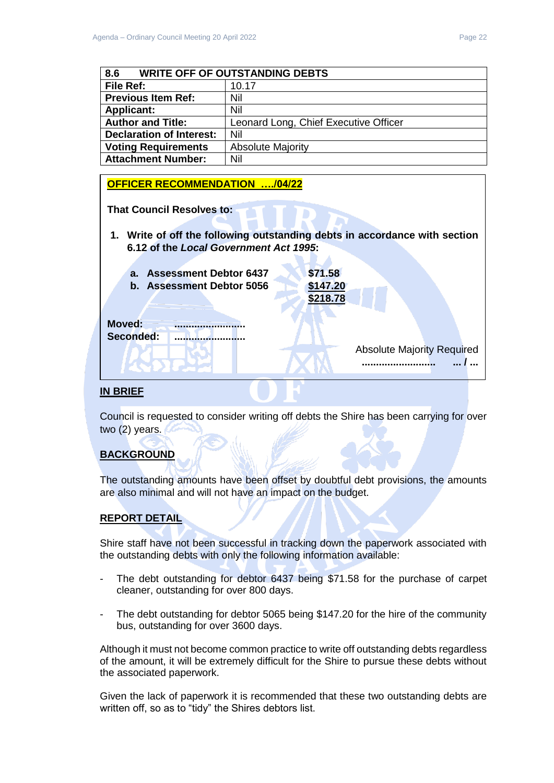<span id="page-21-0"></span>

| 8.6<br><b>WRITE OFF OF OUTSTANDING DEBTS</b> |                                       |
|----------------------------------------------|---------------------------------------|
| <b>File Ref:</b>                             | 10.17                                 |
| <b>Previous Item Ref:</b>                    | Nil                                   |
| <b>Applicant:</b>                            | Nil                                   |
| <b>Author and Title:</b>                     | Leonard Long, Chief Executive Officer |
| <b>Declaration of Interest:</b>              | Nil                                   |
| <b>Voting Requirements</b>                   | <b>Absolute Majority</b>              |
| <b>Attachment Number:</b>                    | Nil                                   |

### **OFFICER RECOMMENDATION …./04/22**

**That Council Resolves to:** 

**1. Write of off the following outstanding debts in accordance with section 6.12 of the** *Local Government Act 1995***:**



### **IN BRIEF**

Council is requested to consider writing off debts the Shire has been carrying for over two (2) years.

## **BACKGROUND**

The outstanding amounts have been offset by doubtful debt provisions, the amounts are also minimal and will not have an impact on the budget.

## **REPORT DETAIL**

Shire staff have not been successful in tracking down the paperwork associated with the outstanding debts with only the following information available:

- The debt outstanding for debtor 6437 being \$71.58 for the purchase of carpet cleaner, outstanding for over 800 days.
- The debt outstanding for debtor 5065 being \$147.20 for the hire of the community bus, outstanding for over 3600 days.

Although it must not become common practice to write off outstanding debts regardless of the amount, it will be extremely difficult for the Shire to pursue these debts without the associated paperwork.

Given the lack of paperwork it is recommended that these two outstanding debts are written off, so as to "tidy" the Shires debtors list.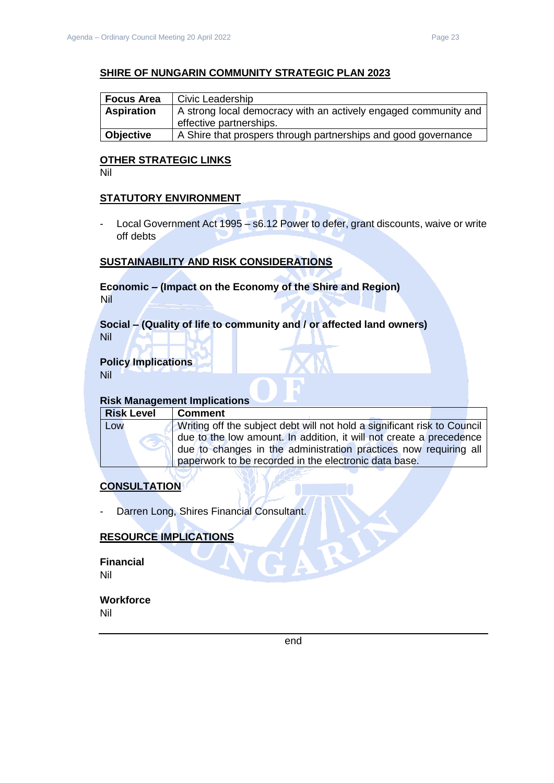## **SHIRE OF NUNGARIN COMMUNITY STRATEGIC PLAN 2023**

| <b>Focus Area</b> | Civic Leadership                                                                           |
|-------------------|--------------------------------------------------------------------------------------------|
| <b>Aspiration</b> | A strong local democracy with an actively engaged community and<br>effective partnerships. |
| Objective         | A Shire that prospers through partnerships and good governance                             |

## **OTHER STRATEGIC LINKS**

Nil

## **STATUTORY ENVIRONMENT**

- Local Government Act 1995 – s6.12 Power to defer, grant discounts, waive or write off debts

## **SUSTAINABILITY AND RISK CONSIDERATIONS**

### **Economic – (Impact on the Economy of the Shire and Region)** Nil

#### **Social – (Quality of life to community and / or affected land owners)** Nil

# **Policy Implications**

Nil

## **Risk Management Implications**

| Low | <b>Risk Level</b> | <b>Comment</b>                                                           |
|-----|-------------------|--------------------------------------------------------------------------|
|     |                   | Writing off the subject debt will not hold a significant risk to Council |
|     |                   | due to the low amount. In addition, it will not create a precedence      |
|     |                   | due to changes in the administration practices now requiring all         |
|     |                   | paperwork to be recorded in the electronic data base.                    |

## **CONSULTATION**

- Darren Long, Shires Financial Consultant.

## **RESOURCE IMPLICATIONS**

**Financial** Nil

### **Workforce** Nil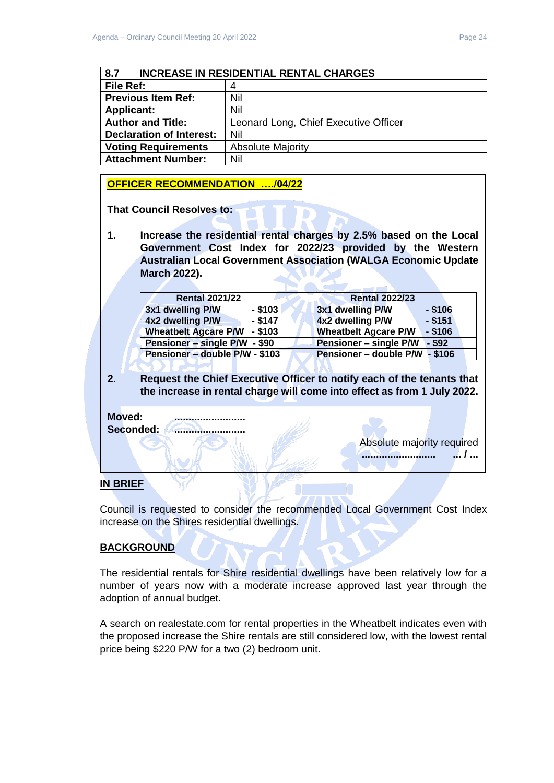<span id="page-23-0"></span>

| <b>INCREASE IN RESIDENTIAL RENTAL CHARGES</b><br>8.7 |                                       |
|------------------------------------------------------|---------------------------------------|
| File Ref:                                            | 4                                     |
| <b>Previous Item Ref:</b>                            | Nil                                   |
| <b>Applicant:</b>                                    | Nil                                   |
| <b>Author and Title:</b>                             | Leonard Long, Chief Executive Officer |
| <b>Declaration of Interest:</b>                      | Nil                                   |
| <b>Voting Requirements</b>                           | <b>Absolute Majority</b>              |
| <b>Attachment Number:</b>                            | Nil                                   |

### **OFFICER RECOMMENDATION …./04/22**

**That Council Resolves to:** 

**1. Increase the residential rental charges by 2.5% based on the Local Government Cost Index for 2022/23 provided by the Western Australian Local Government Association (WALGA Economic Update March 2022).**

| <b>Rental 2021/22</b>                    | <b>Rental 2022/23</b>                    |
|------------------------------------------|------------------------------------------|
| 3x1 dwelling P/W<br>$-$ \$103            | 3x1 dwelling P/W<br>$-$ \$106            |
| 4x2 dwelling P/W<br>$-$ \$147            | 4x2 dwelling P/W<br>$-$ \$151            |
| <b>Wheatbelt Agcare P/W</b><br>$-$ \$103 | <b>Wheatbelt Agcare P/W</b><br>$-$ \$106 |
| Pensioner - single P/W - \$90            | Pensioner - single P/W<br>$-$ \$92       |
| Pensioner - double P/W - \$103           | Pensioner - double P/W - \$106           |
|                                          |                                          |

**2. Request the Chief Executive Officer to notify each of the tenants that the increase in rental charge will come into effect as from 1 July 2022.**

**Moved: .........................** Seconded: **.......................** 

Absolute majority required **.......................... ... / ...** 

## **IN BRIEF**

Council is requested to consider the recommended Local Government Cost Index increase on the Shires residential dwellings.

## **BACKGROUND**

The residential rentals for Shire residential dwellings have been relatively low for a number of years now with a moderate increase approved last year through the adoption of annual budget.

A search on realestate.com for rental properties in the Wheatbelt indicates even with the proposed increase the Shire rentals are still considered low, with the lowest rental price being \$220 P/W for a two (2) bedroom unit.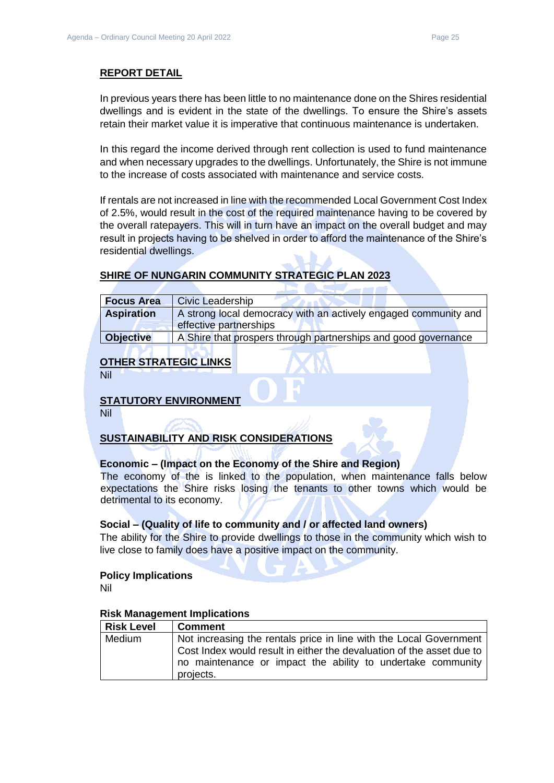### **REPORT DETAIL**

In previous years there has been little to no maintenance done on the Shires residential dwellings and is evident in the state of the dwellings. To ensure the Shire's assets retain their market value it is imperative that continuous maintenance is undertaken.

In this regard the income derived through rent collection is used to fund maintenance and when necessary upgrades to the dwellings. Unfortunately, the Shire is not immune to the increase of costs associated with maintenance and service costs.

If rentals are not increased in line with the recommended Local Government Cost Index of 2.5%, would result in the cost of the required maintenance having to be covered by the overall ratepayers. This will in turn have an impact on the overall budget and may result in projects having to be shelved in order to afford the maintenance of the Shire's residential dwellings.

## **SHIRE OF NUNGARIN COMMUNITY STRATEGIC PLAN 2023**

| <b>Focus Area</b> | <b>Civic Leadership</b>                                         |  |
|-------------------|-----------------------------------------------------------------|--|
| <b>Aspiration</b> | A strong local democracy with an actively engaged community and |  |
|                   | effective partnerships                                          |  |
| <b>Objective</b>  | A Shire that prospers through partnerships and good governance  |  |

## **OTHER STRATEGIC LINKS**

Nil

## **STATUTORY ENVIRONMENT**

Nil

## **SUSTAINABILITY AND RISK CONSIDERATIONS**

## **Economic – (Impact on the Economy of the Shire and Region)**

The economy of the is linked to the population, when maintenance falls below expectations the Shire risks losing the tenants to other towns which would be detrimental to its economy.

#### **Social – (Quality of life to community and / or affected land owners)**

The ability for the Shire to provide dwellings to those in the community which wish to live close to family does have a positive impact on the community.

#### **Policy Implications**

Nil

#### **Risk Management Implications**

| <b>Risk Level</b> | <b>Comment</b>                                                        |  |  |
|-------------------|-----------------------------------------------------------------------|--|--|
| Medium            | Not increasing the rentals price in line with the Local Government    |  |  |
|                   | Cost Index would result in either the devaluation of the asset due to |  |  |
|                   | no maintenance or impact the ability to undertake community           |  |  |
|                   | projects.                                                             |  |  |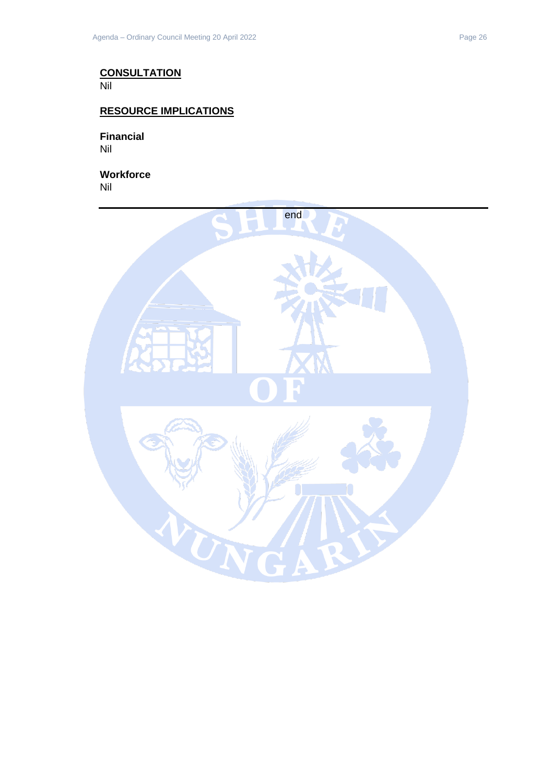## **CONSULTATION**

Nil

## **RESOURCE IMPLICATIONS**

**Financial** Nil

**Workforce** Nil

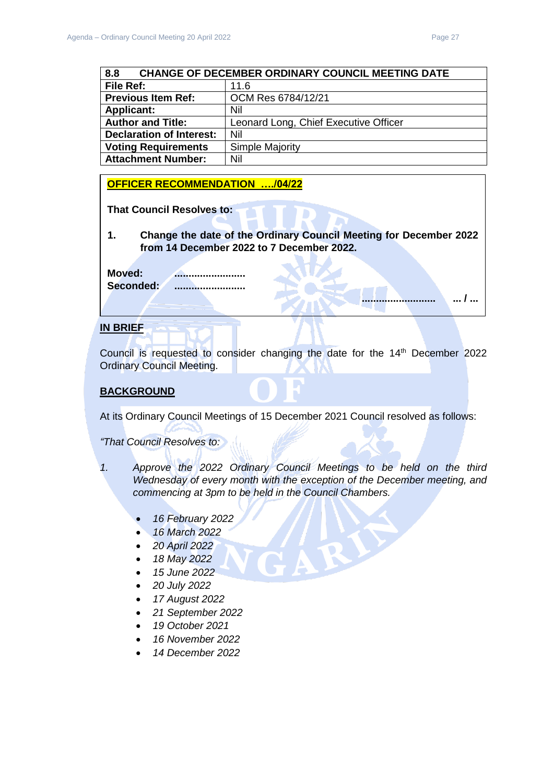**.......................... ... / ...** 

<span id="page-26-0"></span>

| <b>CHANGE OF DECEMBER ORDINARY COUNCIL MEETING DATE</b><br>8.8 |                                       |  |
|----------------------------------------------------------------|---------------------------------------|--|
| File Ref:                                                      | 11.6                                  |  |
| <b>Previous Item Ref:</b>                                      | OCM Res 6784/12/21                    |  |
| <b>Applicant:</b>                                              | Nil                                   |  |
| <b>Author and Title:</b>                                       | Leonard Long, Chief Executive Officer |  |
| <b>Declaration of Interest:</b>                                | Nil                                   |  |
| <b>Voting Requirements</b>                                     | <b>Simple Majority</b>                |  |
| <b>Attachment Number:</b>                                      | Nil                                   |  |

#### **OFFICER RECOMMENDATION …./04/22**

**That Council Resolves to:** 

**1. Change the date of the Ordinary Council Meeting for December 2022 from 14 December 2022 to 7 December 2022.**

**Moved: .........................** Seconded: ..........................

#### **IN BRIEF**

Council is requested to consider changing the date for the 14<sup>th</sup> December 2022 Ordinary Council Meeting.

#### **BACKGROUND**

At its Ordinary Council Meetings of 15 December 2021 Council resolved as follows:

*"That Council Resolves to:*

- *1. Approve the 2022 Ordinary Council Meetings to be held on the third Wednesday of every month with the exception of the December meeting, and commencing at 3pm to be held in the Council Chambers.*
	- *16 February 2022*
	- *16 March 2022*
	- *20 April 2022*
	- *18 May 2022*
	- *15 June 2022*
	- *20 July 2022*
	- *17 August 2022*
	- *21 September 2022*
	- *19 October 2021*
	- *16 November 2022*
	- *14 December 2022*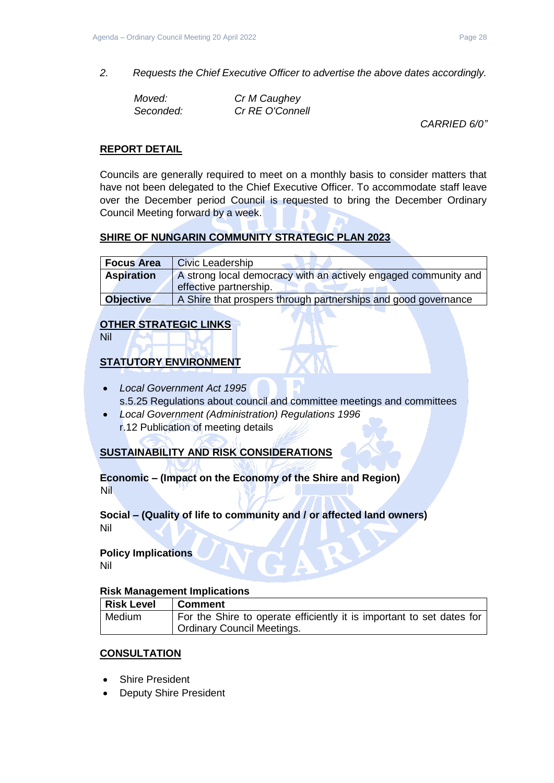*2. Requests the Chief Executive Officer to advertise the above dates accordingly.*

| Moved:    | Cr M Caughey    |
|-----------|-----------------|
| Seconded: | Cr RE O'Connell |

*CARRIED 6/0"*

## **REPORT DETAIL**

Councils are generally required to meet on a monthly basis to consider matters that have not been delegated to the Chief Executive Officer. To accommodate staff leave over the December period Council is requested to bring the December Ordinary Council Meeting forward by a week.

## **SHIRE OF NUNGARIN COMMUNITY STRATEGIC PLAN 2023**

| <b>Focus Area</b> | <b>Civic Leadership</b>                                         |  |
|-------------------|-----------------------------------------------------------------|--|
| <b>Aspiration</b> | A strong local democracy with an actively engaged community and |  |
|                   | effective partnership.                                          |  |
| <b>Objective</b>  | A Shire that prospers through partnerships and good governance  |  |

## **OTHER STRATEGIC LINKS**

Nil

## **STATUTORY ENVIRONMENT**

- *Local Government Act 1995* s.5.25 Regulations about council and committee meetings and committees
- *Local Government (Administration) Regulations 1996* r.12 Publication of meeting details

## **SUSTAINABILITY AND RISK CONSIDERATIONS**

**Economic – (Impact on the Economy of the Shire and Region)** Nil

## **Social – (Quality of life to community and / or affected land owners)** Nil

# **Policy Implications**

Nil

## **Risk Management Implications**

| Risk Level | <b>Comment</b>                                                        |
|------------|-----------------------------------------------------------------------|
| Medium     | For the Shire to operate efficiently it is important to set dates for |
|            | <b>Ordinary Council Meetings.</b>                                     |

## **CONSULTATION**

- **Shire President**
- **Deputy Shire President**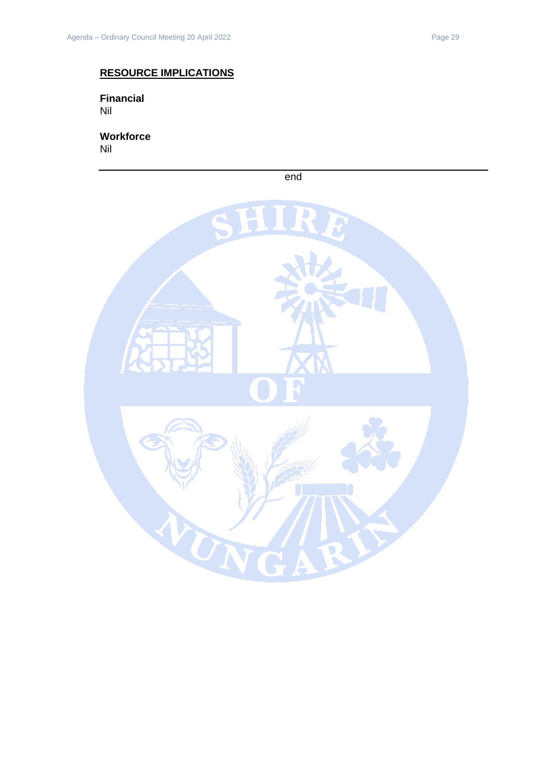## **RESOURCE IMPLICATIONS**

**Financial** Nil

**Workforce** Nil